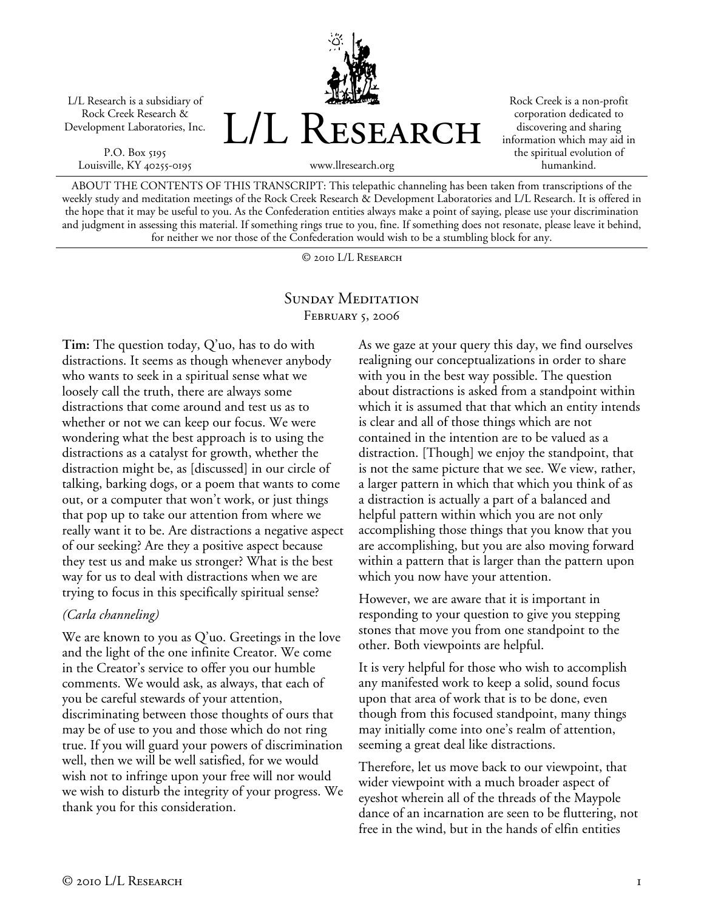

P.O. Box 5195 Louisville, KY 40255-0195



Rock Creek is a non-profit corporation dedicated to discovering and sharing information which may aid in the spiritual evolution of humankind.

ABOUT THE CONTENTS OF THIS TRANSCRIPT: This telepathic channeling has been taken from transcriptions of the weekly study and meditation meetings of the Rock Creek Research & Development Laboratories and L/L Research. It is offered in the hope that it may be useful to you. As the Confederation entities always make a point of saying, please use your discrimination and judgment in assessing this material. If something rings true to you, fine. If something does not resonate, please leave it behind, for neither we nor those of the Confederation would wish to be a stumbling block for any.

© 2010 L/L Research

## SUNDAY MEDITATION February 5, 2006

**Tim:** The question today, Q'uo, has to do with distractions. It seems as though whenever anybody who wants to seek in a spiritual sense what we loosely call the truth, there are always some distractions that come around and test us as to whether or not we can keep our focus. We were wondering what the best approach is to using the distractions as a catalyst for growth, whether the distraction might be, as [discussed] in our circle of talking, barking dogs, or a poem that wants to come out, or a computer that won't work, or just things that pop up to take our attention from where we really want it to be. Are distractions a negative aspect of our seeking? Are they a positive aspect because they test us and make us stronger? What is the best way for us to deal with distractions when we are trying to focus in this specifically spiritual sense?

## *(Carla channeling)*

We are known to you as Q'uo. Greetings in the love and the light of the one infinite Creator. We come in the Creator's service to offer you our humble comments. We would ask, as always, that each of you be careful stewards of your attention, discriminating between those thoughts of ours that may be of use to you and those which do not ring true. If you will guard your powers of discrimination well, then we will be well satisfied, for we would wish not to infringe upon your free will nor would we wish to disturb the integrity of your progress. We thank you for this consideration.

As we gaze at your query this day, we find ourselves realigning our conceptualizations in order to share with you in the best way possible. The question about distractions is asked from a standpoint within which it is assumed that that which an entity intends is clear and all of those things which are not contained in the intention are to be valued as a distraction. [Though] we enjoy the standpoint, that is not the same picture that we see. We view, rather, a larger pattern in which that which you think of as a distraction is actually a part of a balanced and helpful pattern within which you are not only accomplishing those things that you know that you are accomplishing, but you are also moving forward within a pattern that is larger than the pattern upon which you now have your attention.

However, we are aware that it is important in responding to your question to give you stepping stones that move you from one standpoint to the other. Both viewpoints are helpful.

It is very helpful for those who wish to accomplish any manifested work to keep a solid, sound focus upon that area of work that is to be done, even though from this focused standpoint, many things may initially come into one's realm of attention, seeming a great deal like distractions.

Therefore, let us move back to our viewpoint, that wider viewpoint with a much broader aspect of eyeshot wherein all of the threads of the Maypole dance of an incarnation are seen to be fluttering, not free in the wind, but in the hands of elfin entities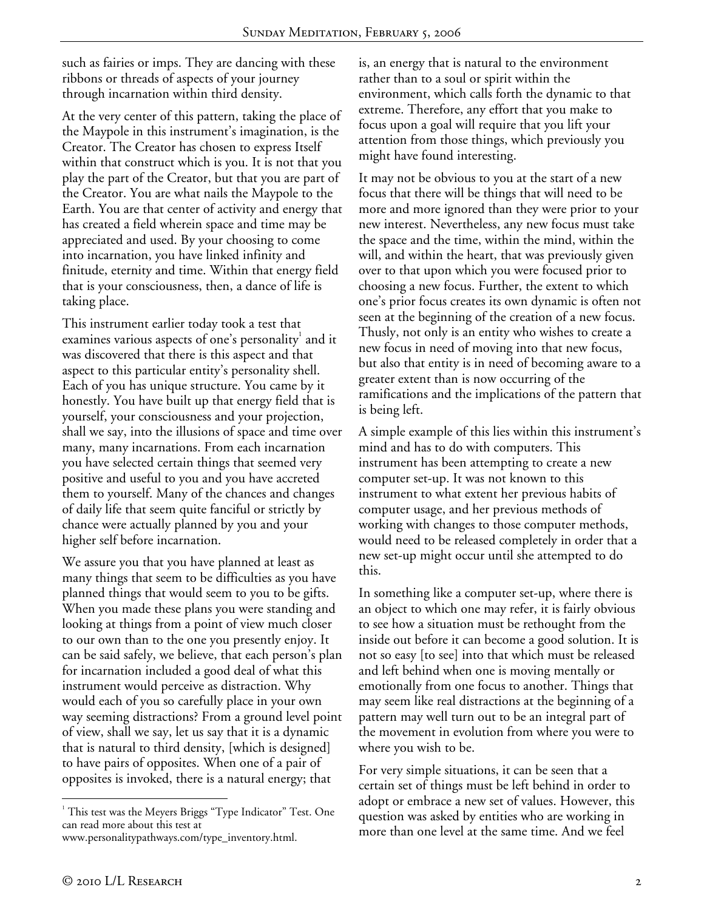such as fairies or imps. They are dancing with these ribbons or threads of aspects of your journey through incarnation within third density.

At the very center of this pattern, taking the place of the Maypole in this instrument's imagination, is the Creator. The Creator has chosen to express Itself within that construct which is you. It is not that you play the part of the Creator, but that you are part of the Creator. You are what nails the Maypole to the Earth. You are that center of activity and energy that has created a field wherein space and time may be appreciated and used. By your choosing to come into incarnation, you have linked infinity and finitude, eternity and time. Within that energy field that is your consciousness, then, a dance of life is taking place.

This instrument earlier today took a test that examines various aspects of one's personality $^{\rm l}$  and it was discovered that there is this aspect and that aspect to this particular entity's personality shell. Each of you has unique structure. You came by it honestly. You have built up that energy field that is yourself, your consciousness and your projection, shall we say, into the illusions of space and time over many, many incarnations. From each incarnation you have selected certain things that seemed very positive and useful to you and you have accreted them to yourself. Many of the chances and changes of daily life that seem quite fanciful or strictly by chance were actually planned by you and your higher self before incarnation.

We assure you that you have planned at least as many things that seem to be difficulties as you have planned things that would seem to you to be gifts. When you made these plans you were standing and looking at things from a point of view much closer to our own than to the one you presently enjoy. It can be said safely, we believe, that each person's plan for incarnation included a good deal of what this instrument would perceive as distraction. Why would each of you so carefully place in your own way seeming distractions? From a ground level point of view, shall we say, let us say that it is a dynamic that is natural to third density, [which is designed] to have pairs of opposites. When one of a pair of opposites is invoked, there is a natural energy; that

is, an energy that is natural to the environment rather than to a soul or spirit within the environment, which calls forth the dynamic to that extreme. Therefore, any effort that you make to focus upon a goal will require that you lift your attention from those things, which previously you might have found interesting.

It may not be obvious to you at the start of a new focus that there will be things that will need to be more and more ignored than they were prior to your new interest. Nevertheless, any new focus must take the space and the time, within the mind, within the will, and within the heart, that was previously given over to that upon which you were focused prior to choosing a new focus. Further, the extent to which one's prior focus creates its own dynamic is often not seen at the beginning of the creation of a new focus. Thusly, not only is an entity who wishes to create a new focus in need of moving into that new focus, but also that entity is in need of becoming aware to a greater extent than is now occurring of the ramifications and the implications of the pattern that is being left.

A simple example of this lies within this instrument's mind and has to do with computers. This instrument has been attempting to create a new computer set-up. It was not known to this instrument to what extent her previous habits of computer usage, and her previous methods of working with changes to those computer methods, would need to be released completely in order that a new set-up might occur until she attempted to do this.

In something like a computer set-up, where there is an object to which one may refer, it is fairly obvious to see how a situation must be rethought from the inside out before it can become a good solution. It is not so easy [to see] into that which must be released and left behind when one is moving mentally or emotionally from one focus to another. Things that may seem like real distractions at the beginning of a pattern may well turn out to be an integral part of the movement in evolution from where you were to where you wish to be.

For very simple situations, it can be seen that a certain set of things must be left behind in order to adopt or embrace a new set of values. However, this question was asked by entities who are working in more than one level at the same time. And we feel

 $\overline{a}$ <sup>1</sup> This test was the Meyers Briggs "Type Indicator" Test. One can read more about this test at

www.personalitypathways.com/type\_inventory.html.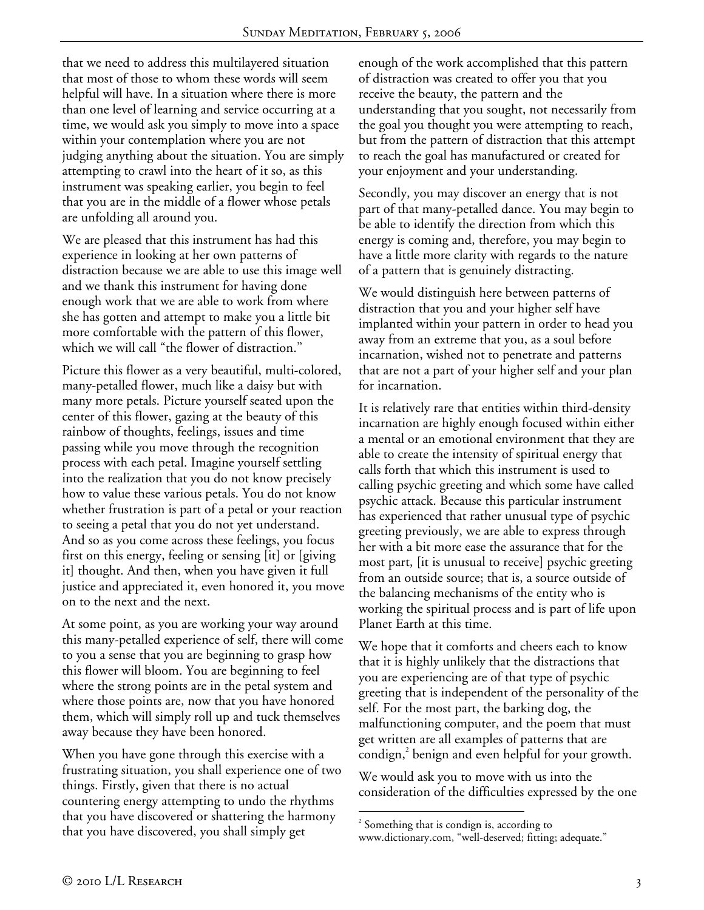that we need to address this multilayered situation that most of those to whom these words will seem helpful will have. In a situation where there is more than one level of learning and service occurring at a time, we would ask you simply to move into a space within your contemplation where you are not judging anything about the situation. You are simply attempting to crawl into the heart of it so, as this instrument was speaking earlier, you begin to feel that you are in the middle of a flower whose petals are unfolding all around you.

We are pleased that this instrument has had this experience in looking at her own patterns of distraction because we are able to use this image well and we thank this instrument for having done enough work that we are able to work from where she has gotten and attempt to make you a little bit more comfortable with the pattern of this flower, which we will call "the flower of distraction."

Picture this flower as a very beautiful, multi-colored, many-petalled flower, much like a daisy but with many more petals. Picture yourself seated upon the center of this flower, gazing at the beauty of this rainbow of thoughts, feelings, issues and time passing while you move through the recognition process with each petal. Imagine yourself settling into the realization that you do not know precisely how to value these various petals. You do not know whether frustration is part of a petal or your reaction to seeing a petal that you do not yet understand. And so as you come across these feelings, you focus first on this energy, feeling or sensing [it] or [giving it] thought. And then, when you have given it full justice and appreciated it, even honored it, you move on to the next and the next.

At some point, as you are working your way around this many-petalled experience of self, there will come to you a sense that you are beginning to grasp how this flower will bloom. You are beginning to feel where the strong points are in the petal system and where those points are, now that you have honored them, which will simply roll up and tuck themselves away because they have been honored.

When you have gone through this exercise with a frustrating situation, you shall experience one of two things. Firstly, given that there is no actual countering energy attempting to undo the rhythms that you have discovered or shattering the harmony that you have discovered, you shall simply get

enough of the work accomplished that this pattern of distraction was created to offer you that you receive the beauty, the pattern and the understanding that you sought, not necessarily from the goal you thought you were attempting to reach, but from the pattern of distraction that this attempt to reach the goal has manufactured or created for your enjoyment and your understanding.

Secondly, you may discover an energy that is not part of that many-petalled dance. You may begin to be able to identify the direction from which this energy is coming and, therefore, you may begin to have a little more clarity with regards to the nature of a pattern that is genuinely distracting.

We would distinguish here between patterns of distraction that you and your higher self have implanted within your pattern in order to head you away from an extreme that you, as a soul before incarnation, wished not to penetrate and patterns that are not a part of your higher self and your plan for incarnation.

It is relatively rare that entities within third-density incarnation are highly enough focused within either a mental or an emotional environment that they are able to create the intensity of spiritual energy that calls forth that which this instrument is used to calling psychic greeting and which some have called psychic attack. Because this particular instrument has experienced that rather unusual type of psychic greeting previously, we are able to express through her with a bit more ease the assurance that for the most part, [it is unusual to receive] psychic greeting from an outside source; that is, a source outside of the balancing mechanisms of the entity who is working the spiritual process and is part of life upon Planet Earth at this time.

We hope that it comforts and cheers each to know that it is highly unlikely that the distractions that you are experiencing are of that type of psychic greeting that is independent of the personality of the self. For the most part, the barking dog, the malfunctioning computer, and the poem that must get written are all examples of patterns that are condign,<sup>2</sup> benign and even helpful for your growth.

We would ask you to move with us into the consideration of the difficulties expressed by the one

 $\overline{a}$ <sup>2</sup> Something that is condign is, according to www.dictionary.com, "well-deserved; fitting; adequate."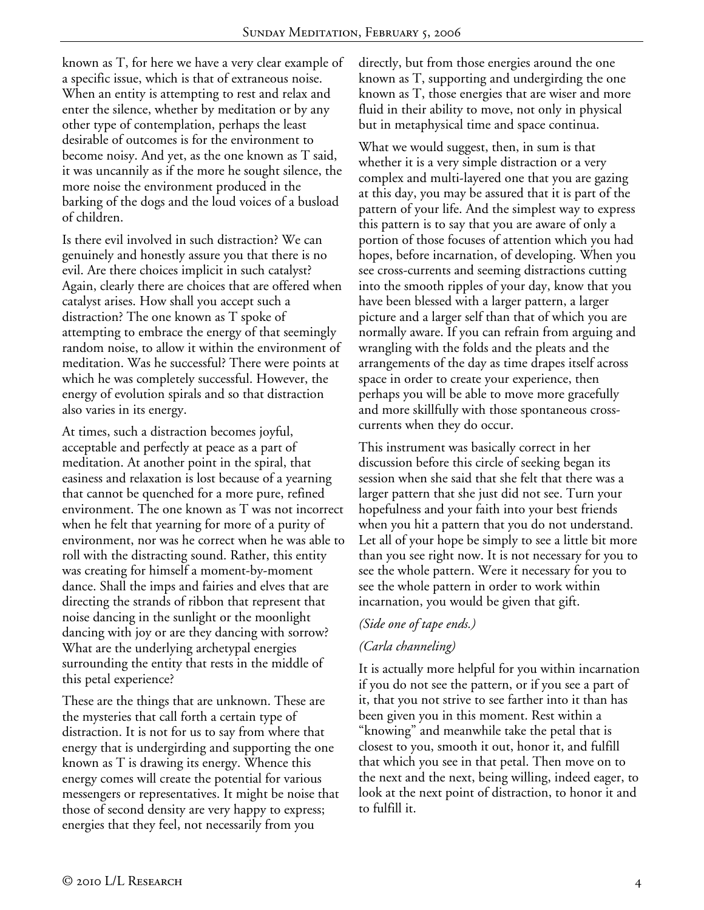known as T, for here we have a very clear example of a specific issue, which is that of extraneous noise. When an entity is attempting to rest and relax and enter the silence, whether by meditation or by any other type of contemplation, perhaps the least desirable of outcomes is for the environment to become noisy. And yet, as the one known as T said, it was uncannily as if the more he sought silence, the more noise the environment produced in the barking of the dogs and the loud voices of a busload of children.

Is there evil involved in such distraction? We can genuinely and honestly assure you that there is no evil. Are there choices implicit in such catalyst? Again, clearly there are choices that are offered when catalyst arises. How shall you accept such a distraction? The one known as T spoke of attempting to embrace the energy of that seemingly random noise, to allow it within the environment of meditation. Was he successful? There were points at which he was completely successful. However, the energy of evolution spirals and so that distraction also varies in its energy.

At times, such a distraction becomes joyful, acceptable and perfectly at peace as a part of meditation. At another point in the spiral, that easiness and relaxation is lost because of a yearning that cannot be quenched for a more pure, refined environment. The one known as T was not incorrect when he felt that yearning for more of a purity of environment, nor was he correct when he was able to roll with the distracting sound. Rather, this entity was creating for himself a moment-by-moment dance. Shall the imps and fairies and elves that are directing the strands of ribbon that represent that noise dancing in the sunlight or the moonlight dancing with joy or are they dancing with sorrow? What are the underlying archetypal energies surrounding the entity that rests in the middle of this petal experience?

These are the things that are unknown. These are the mysteries that call forth a certain type of distraction. It is not for us to say from where that energy that is undergirding and supporting the one known as T is drawing its energy. Whence this energy comes will create the potential for various messengers or representatives. It might be noise that those of second density are very happy to express; energies that they feel, not necessarily from you

directly, but from those energies around the one known as T, supporting and undergirding the one known as T, those energies that are wiser and more fluid in their ability to move, not only in physical but in metaphysical time and space continua.

What we would suggest, then, in sum is that whether it is a very simple distraction or a very complex and multi-layered one that you are gazing at this day, you may be assured that it is part of the pattern of your life. And the simplest way to express this pattern is to say that you are aware of only a portion of those focuses of attention which you had hopes, before incarnation, of developing. When you see cross-currents and seeming distractions cutting into the smooth ripples of your day, know that you have been blessed with a larger pattern, a larger picture and a larger self than that of which you are normally aware. If you can refrain from arguing and wrangling with the folds and the pleats and the arrangements of the day as time drapes itself across space in order to create your experience, then perhaps you will be able to move more gracefully and more skillfully with those spontaneous crosscurrents when they do occur.

This instrument was basically correct in her discussion before this circle of seeking began its session when she said that she felt that there was a larger pattern that she just did not see. Turn your hopefulness and your faith into your best friends when you hit a pattern that you do not understand. Let all of your hope be simply to see a little bit more than you see right now. It is not necessary for you to see the whole pattern. Were it necessary for you to see the whole pattern in order to work within incarnation, you would be given that gift.

## *(Side one of tape ends.)*

## *(Carla channeling)*

It is actually more helpful for you within incarnation if you do not see the pattern, or if you see a part of it, that you not strive to see farther into it than has been given you in this moment. Rest within a "knowing" and meanwhile take the petal that is closest to you, smooth it out, honor it, and fulfill that which you see in that petal. Then move on to the next and the next, being willing, indeed eager, to look at the next point of distraction, to honor it and to fulfill it.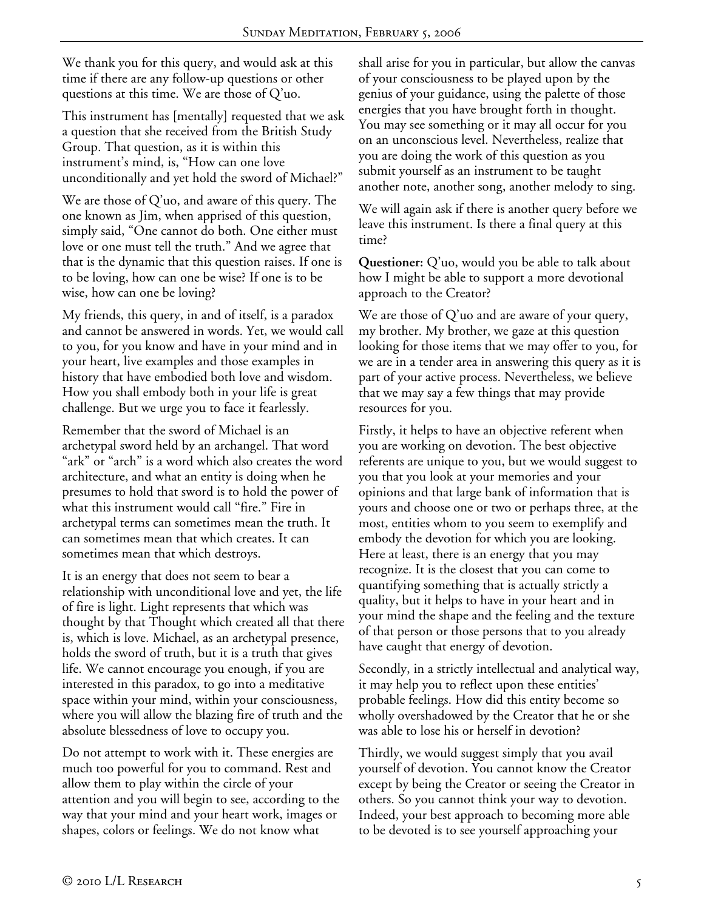We thank you for this query, and would ask at this time if there are any follow-up questions or other questions at this time. We are those of Q'uo.

This instrument has [mentally] requested that we ask a question that she received from the British Study Group. That question, as it is within this instrument's mind, is, "How can one love unconditionally and yet hold the sword of Michael?"

We are those of Q'uo, and aware of this query. The one known as Jim, when apprised of this question, simply said, "One cannot do both. One either must love or one must tell the truth." And we agree that that is the dynamic that this question raises. If one is to be loving, how can one be wise? If one is to be wise, how can one be loving?

My friends, this query, in and of itself, is a paradox and cannot be answered in words. Yet, we would call to you, for you know and have in your mind and in your heart, live examples and those examples in history that have embodied both love and wisdom. How you shall embody both in your life is great challenge. But we urge you to face it fearlessly.

Remember that the sword of Michael is an archetypal sword held by an archangel. That word "ark" or "arch" is a word which also creates the word architecture, and what an entity is doing when he presumes to hold that sword is to hold the power of what this instrument would call "fire." Fire in archetypal terms can sometimes mean the truth. It can sometimes mean that which creates. It can sometimes mean that which destroys.

It is an energy that does not seem to bear a relationship with unconditional love and yet, the life of fire is light. Light represents that which was thought by that Thought which created all that there is, which is love. Michael, as an archetypal presence, holds the sword of truth, but it is a truth that gives life. We cannot encourage you enough, if you are interested in this paradox, to go into a meditative space within your mind, within your consciousness, where you will allow the blazing fire of truth and the absolute blessedness of love to occupy you.

Do not attempt to work with it. These energies are much too powerful for you to command. Rest and allow them to play within the circle of your attention and you will begin to see, according to the way that your mind and your heart work, images or shapes, colors or feelings. We do not know what

shall arise for you in particular, but allow the canvas of your consciousness to be played upon by the genius of your guidance, using the palette of those energies that you have brought forth in thought. You may see something or it may all occur for you on an unconscious level. Nevertheless, realize that you are doing the work of this question as you submit yourself as an instrument to be taught another note, another song, another melody to sing.

We will again ask if there is another query before we leave this instrument. Is there a final query at this time?

**Questioner:** Q'uo, would you be able to talk about how I might be able to support a more devotional approach to the Creator?

We are those of Q'uo and are aware of your query, my brother. My brother, we gaze at this question looking for those items that we may offer to you, for we are in a tender area in answering this query as it is part of your active process. Nevertheless, we believe that we may say a few things that may provide resources for you.

Firstly, it helps to have an objective referent when you are working on devotion. The best objective referents are unique to you, but we would suggest to you that you look at your memories and your opinions and that large bank of information that is yours and choose one or two or perhaps three, at the most, entities whom to you seem to exemplify and embody the devotion for which you are looking. Here at least, there is an energy that you may recognize. It is the closest that you can come to quantifying something that is actually strictly a quality, but it helps to have in your heart and in your mind the shape and the feeling and the texture of that person or those persons that to you already have caught that energy of devotion.

Secondly, in a strictly intellectual and analytical way, it may help you to reflect upon these entities' probable feelings. How did this entity become so wholly overshadowed by the Creator that he or she was able to lose his or herself in devotion?

Thirdly, we would suggest simply that you avail yourself of devotion. You cannot know the Creator except by being the Creator or seeing the Creator in others. So you cannot think your way to devotion. Indeed, your best approach to becoming more able to be devoted is to see yourself approaching your